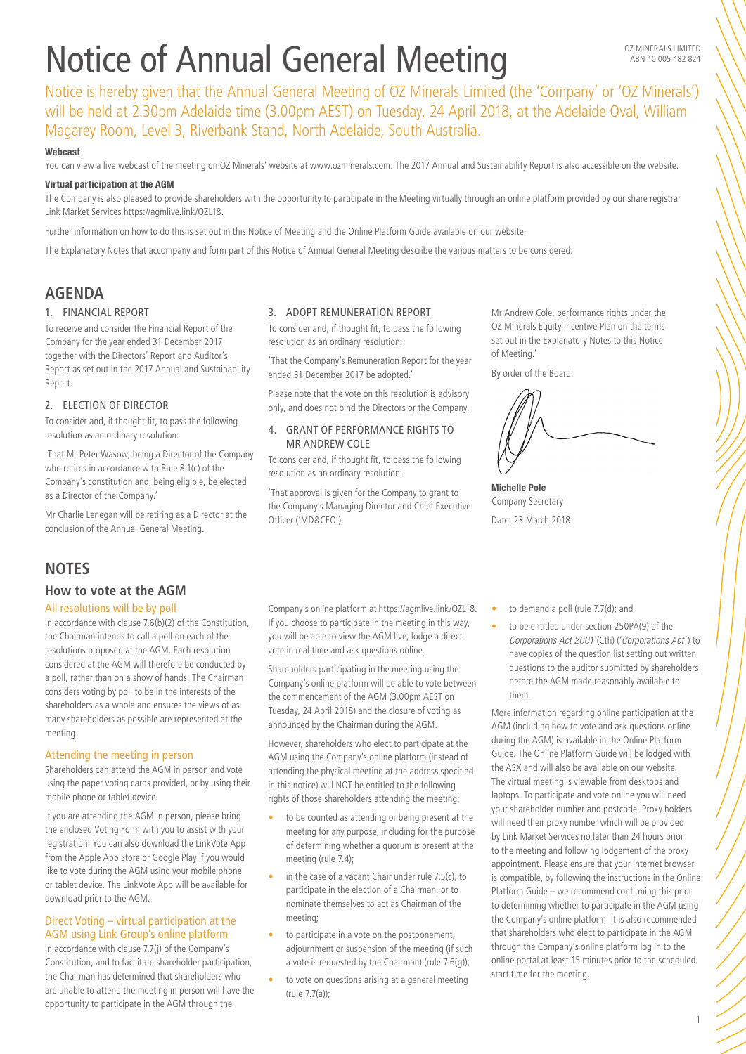# Notice of Annual General Meeting

Notice is hereby given that the Annual General Meeting of OZ Minerals Limited (the 'Company' or 'OZ Minerals') will be held at 2.30pm Adelaide time (3.00pm AEST) on Tuesday, 24 April 2018, at the Adelaide Oval, William Magarey Room, Level 3, Riverbank Stand, North Adelaide, South Australia.

## Webcast

You can view a live webcast of the meeting on OZ Minerals' website at www.ozminerals.com. The 2017 Annual and Sustainability Report is also accessible on the website.

#### Virtual participation at the AGM

The Company is also pleased to provide shareholders with the opportunity to participate in the Meeting virtually through an online platform provided by our share registrar Link Market Services https://agmlive.link/OZL18.

Further information on how to do this is set out in this Notice of Meeting and the Online Platform Guide available on our website.

The Explanatory Notes that accompany and form part of this Notice of Annual General Meeting describe the various matters to be considered.

# **AGENDA**

## 1. FINANCIAL REPORT

To receive and consider the Financial Report of the Company for the year ended 31 December 2017 together with the Directors' Report and Auditor's Report as set out in the 2017 Annual and Sustainability Report.

# 2. ELECTION OF DIRECTOR

To consider and, if thought fit, to pass the following resolution as an ordinary resolution:

'That Mr Peter Wasow, being a Director of the Company who retires in accordance with Rule 8.1(c) of the Company's constitution and, being eligible, be elected as a Director of the Company.'

Mr Charlie Lenegan will be retiring as a Director at the conclusion of the Annual General Meeting.

# **NOTES**

# **How to vote at the AGM**

# All resolutions will be by poll

In accordance with clause 7.6(b)(2) of the Constitution, the Chairman intends to call a poll on each of the resolutions proposed at the AGM. Each resolution considered at the AGM will therefore be conducted by a poll, rather than on a show of hands. The Chairman considers voting by poll to be in the interests of the shareholders as a whole and ensures the views of as many shareholders as possible are represented at the meeting.

#### Attending the meeting in person

Shareholders can attend the AGM in person and vote using the paper voting cards provided, or by using their mobile phone or tablet device.

If you are attending the AGM in person, please bring the enclosed Voting Form with you to assist with your registration. You can also download the LinkVote App from the Apple App Store or Google Play if you would like to vote during the AGM using your mobile phone or tablet device. The LinkVote App will be available for download prior to the AGM.

# Direct Voting – virtual participation at the AGM using Link Group's online platform

In accordance with clause 7.7(j) of the Company's Constitution, and to facilitate shareholder participation, the Chairman has determined that shareholders who are unable to attend the meeting in person will have the opportunity to participate in the AGM through the

#### 3. ADOPT REMUNERATION REPORT

To consider and, if thought fit, to pass the following resolution as an ordinary resolution:

'That the Company's Remuneration Report for the year ended 31 December 2017 be adopted.'

Please note that the vote on this resolution is advisory only, and does not bind the Directors or the Company.

# 4. GRANT OF PERFORMANCE RIGHTS TO MR ANDREW COLE

To consider and, if thought fit, to pass the following resolution as an ordinary resolution:

'That approval is given for the Company to grant to the Company's Managing Director and Chief Executive Officer ('MD&CEO'),

Company's online platform at https://agmlive.link/OZL18. If you choose to participate in the meeting in this way, you will be able to view the AGM live, lodge a direct vote in real time and ask questions online.

Shareholders participating in the meeting using the Company's online platform will be able to vote between the commencement of the AGM (3.00pm AEST on Tuesday, 24 April 2018) and the closure of voting as announced by the Chairman during the AGM.

However, shareholders who elect to participate at the AGM using the Company's online platform (instead of attending the physical meeting at the address specified in this notice) will NOT be entitled to the following rights of those shareholders attending the meeting: • to be counted as attending or being present at the meeting for any purpose, including for the purpose of determining whether a quorum is present at the

in the case of a vacant Chair under rule 7.5(c), to participate in the election of a Chairman, or to nominate themselves to act as Chairman of the

• to participate in a vote on the postponement, adjournment or suspension of the meeting (if such a vote is requested by the Chairman) (rule 7.6(g)); to vote on questions arising at a general meeting

meeting (rule 7.4);

meeting;

(rule 7.7(a));

Mr Andrew Cole, performance rights under the OZ Minerals Equity Incentive Plan on the terms set out in the Explanatory Notes to this Notice of Meeting.'

By order of the Board.

Michelle Pole Company Secretary Date: 23 March 2018

- to demand a poll (rule 7.7(d); and
- to be entitled under section 250PA(9) of the *Corporations Act 2001* (Cth) ('*Corporations Act* ') to have copies of the question list setting out written questions to the auditor submitted by shareholders before the AGM made reasonably available to them.

More information regarding online participation at the AGM (including how to vote and ask questions online during the AGM) is available in the Online Platform Guide. The Online Platform Guide will be lodged with the ASX and will also be available on our website. The virtual meeting is viewable from desktops and laptops. To participate and vote online you will need your shareholder number and postcode. Proxy holders will need their proxy number which will be provided by Link Market Services no later than 24 hours prior to the meeting and following lodgement of the proxy appointment. Please ensure that your internet browser is compatible, by following the instructions in the Online Platform Guide – we recommend confirming this prior to determining whether to participate in the AGM using the Company's online platform. It is also recommended that shareholders who elect to participate in the AGM through the Company's online platform log in to the online portal at least 15 minutes prior to the scheduled start time for the meeting.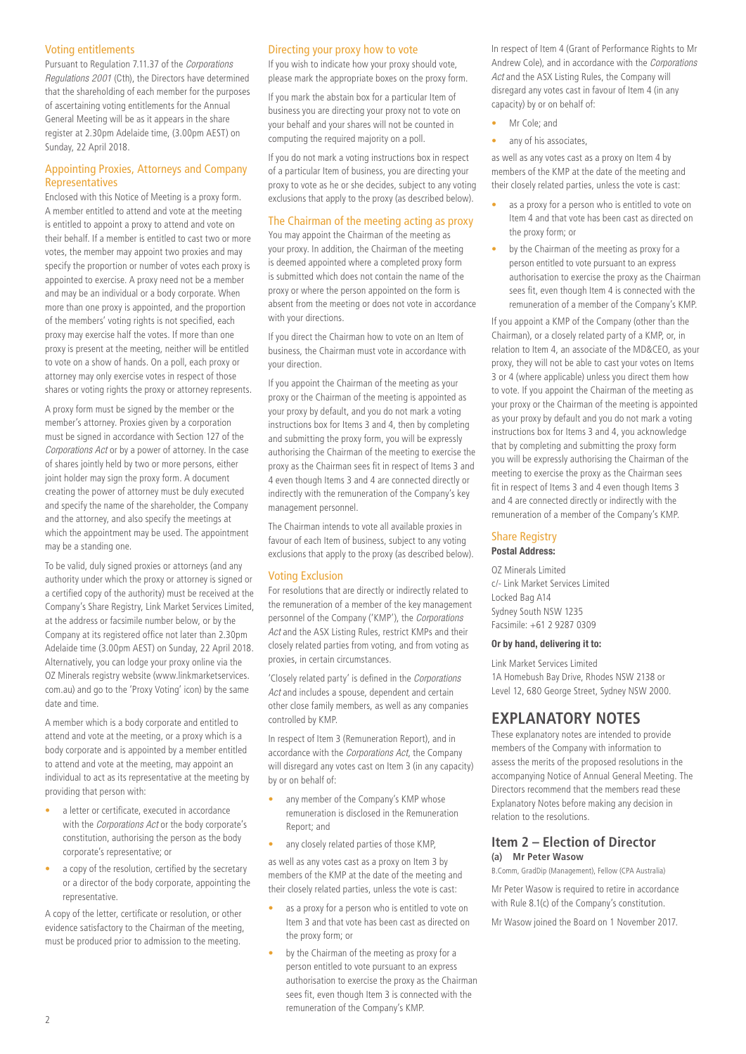# Voting entitlements

Pursuant to Regulation 7.11.37 of the *Corporations Regulations 2001* (Cth), the Directors have determined that the shareholding of each member for the purposes of ascertaining voting entitlements for the Annual General Meeting will be as it appears in the share register at 2.30pm Adelaide time, (3.00pm AEST) on Sunday, 22 April 2018.

# Appointing Proxies, Attorneys and Company Representatives

Enclosed with this Notice of Meeting is a proxy form. A member entitled to attend and vote at the meeting is entitled to appoint a proxy to attend and vote on their behalf. If a member is entitled to cast two or more votes, the member may appoint two proxies and may specify the proportion or number of votes each proxy is appointed to exercise. A proxy need not be a member and may be an individual or a body corporate. When more than one proxy is appointed, and the proportion of the members' voting rights is not specified, each proxy may exercise half the votes. If more than one proxy is present at the meeting, neither will be entitled to vote on a show of hands. On a poll, each proxy or attorney may only exercise votes in respect of those shares or voting rights the proxy or attorney represents.

A proxy form must be signed by the member or the member's attorney. Proxies given by a corporation must be signed in accordance with Section 127 of the *Corporations Act* or by a power of attorney. In the case of shares jointly held by two or more persons, either joint holder may sign the proxy form. A document creating the power of attorney must be duly executed and specify the name of the shareholder, the Company and the attorney, and also specify the meetings at which the appointment may be used. The appointment may be a standing one.

To be valid, duly signed proxies or attorneys (and any authority under which the proxy or attorney is signed or a certified copy of the authority) must be received at the Company's Share Registry, Link Market Services Limited, at the address or facsimile number below, or by the Company at its registered office not later than 2.30pm Adelaide time (3.00pm AEST) on Sunday, 22 April 2018. Alternatively, you can lodge your proxy online via the OZ Minerals registry website (www.linkmarketservices. com.au) and go to the 'Proxy Voting' icon) by the same date and time.

A member which is a body corporate and entitled to attend and vote at the meeting, or a proxy which is a body corporate and is appointed by a member entitled to attend and vote at the meeting, may appoint an individual to act as its representative at the meeting by providing that person with:

- a letter or certificate, executed in accordance with the *Corporations Act* or the body corporate's constitution, authorising the person as the body corporate's representative; or
- a copy of the resolution, certified by the secretary or a director of the body corporate, appointing the representative.

A copy of the letter, certificate or resolution, or other evidence satisfactory to the Chairman of the meeting, must be produced prior to admission to the meeting.

# Directing your proxy how to vote

If you wish to indicate how your proxy should vote, please mark the appropriate boxes on the proxy form.

If you mark the abstain box for a particular Item of business you are directing your proxy not to vote on your behalf and your shares will not be counted in computing the required majority on a poll.

If you do not mark a voting instructions box in respect of a particular Item of business, you are directing your proxy to vote as he or she decides, subject to any voting exclusions that apply to the proxy (as described below).

#### The Chairman of the meeting acting as proxy

You may appoint the Chairman of the meeting as your proxy. In addition, the Chairman of the meeting is deemed appointed where a completed proxy form is submitted which does not contain the name of the proxy or where the person appointed on the form is absent from the meeting or does not vote in accordance with your directions.

If you direct the Chairman how to vote on an Item of business, the Chairman must vote in accordance with your direction.

If you appoint the Chairman of the meeting as your proxy or the Chairman of the meeting is appointed as your proxy by default, and you do not mark a voting instructions box for Items 3 and 4, then by completing and submitting the proxy form, you will be expressly authorising the Chairman of the meeting to exercise the proxy as the Chairman sees fit in respect of Items 3 and 4 even though Items 3 and 4 are connected directly or indirectly with the remuneration of the Company's key management personnel.

The Chairman intends to vote all available proxies in favour of each Item of business, subject to any voting exclusions that apply to the proxy (as described below).

#### Voting Exclusion

For resolutions that are directly or indirectly related to the remuneration of a member of the key management personnel of the Company ('KMP'), the *Corporations Act* and the ASX Listing Rules, restrict KMPs and their closely related parties from voting, and from voting as proxies, in certain circumstances.

'Closely related party' is defined in the *Corporations Act* and includes a spouse, dependent and certain other close family members, as well as any companies controlled by KMP.

In respect of Item 3 (Remuneration Report), and in accordance with the *Corporations Act*, the Company will disregard any votes cast on Item 3 (in any capacity) by or on behalf of:

- any member of the Company's KMP whose remuneration is disclosed in the Remuneration Report; and
- any closely related parties of those KMP,

as well as any votes cast as a proxy on Item 3 by members of the KMP at the date of the meeting and their closely related parties, unless the vote is cast:

- as a proxy for a person who is entitled to vote on Item 3 and that vote has been cast as directed on the proxy form; or
- by the Chairman of the meeting as proxy for a person entitled to vote pursuant to an express authorisation to exercise the proxy as the Chairman sees fit, even though Item 3 is connected with the remuneration of the Company's KMP.

In respect of Item 4 (Grant of Performance Rights to Mr Andrew Cole), and in accordance with the *Corporations Act* and the ASX Listing Rules, the Company will disregard any votes cast in favour of Item 4 (in any capacity) by or on behalf of:

- Mr Cole; and
- any of his associates,

as well as any votes cast as a proxy on Item 4 by members of the KMP at the date of the meeting and their closely related parties, unless the vote is cast:

- as a proxy for a person who is entitled to vote on Item 4 and that vote has been cast as directed on the proxy form; or
- by the Chairman of the meeting as proxy for a person entitled to vote pursuant to an express authorisation to exercise the proxy as the Chairman sees fit, even though Item 4 is connected with the remuneration of a member of the Company's KMP.

If you appoint a KMP of the Company (other than the Chairman), or a closely related party of a KMP, or, in relation to Item 4, an associate of the MD&CEO, as your proxy, they will not be able to cast your votes on Items 3 or 4 (where applicable) unless you direct them how to vote. If you appoint the Chairman of the meeting as your proxy or the Chairman of the meeting is appointed as your proxy by default and you do not mark a voting instructions box for Items 3 and 4, you acknowledge that by completing and submitting the proxy form you will be expressly authorising the Chairman of the meeting to exercise the proxy as the Chairman sees fit in respect of Items 3 and 4 even though Items 3 and 4 are connected directly or indirectly with the remuneration of a member of the Company's KMP.

#### Share Registry

#### Postal Address:

OZ Minerals Limited c/- Link Market Services Limited Locked Bag A14 Sydney South NSW 1235 Facsimile: +61 2 9287 0309

#### Or by hand, delivering it to:

Link Market Services Limited 1A Homebush Bay Drive, Rhodes NSW 2138 or Level 12, 680 George Street, Sydney NSW 2000.

# **EXPLANATORY NOTES**

These explanatory notes are intended to provide members of the Company with information to assess the merits of the proposed resolutions in the accompanying Notice of Annual General Meeting. The Directors recommend that the members read these Explanatory Notes before making any decision in relation to the resolutions.

# **Item 2 – Election of Director (a) Mr Peter Wasow**

B.Comm, GradDip (Management), Fellow (CPA Australia)

Mr Peter Wasow is required to retire in accordance with Rule 8.1(c) of the Company's constitution.

Mr Wasow joined the Board on 1 November 2017.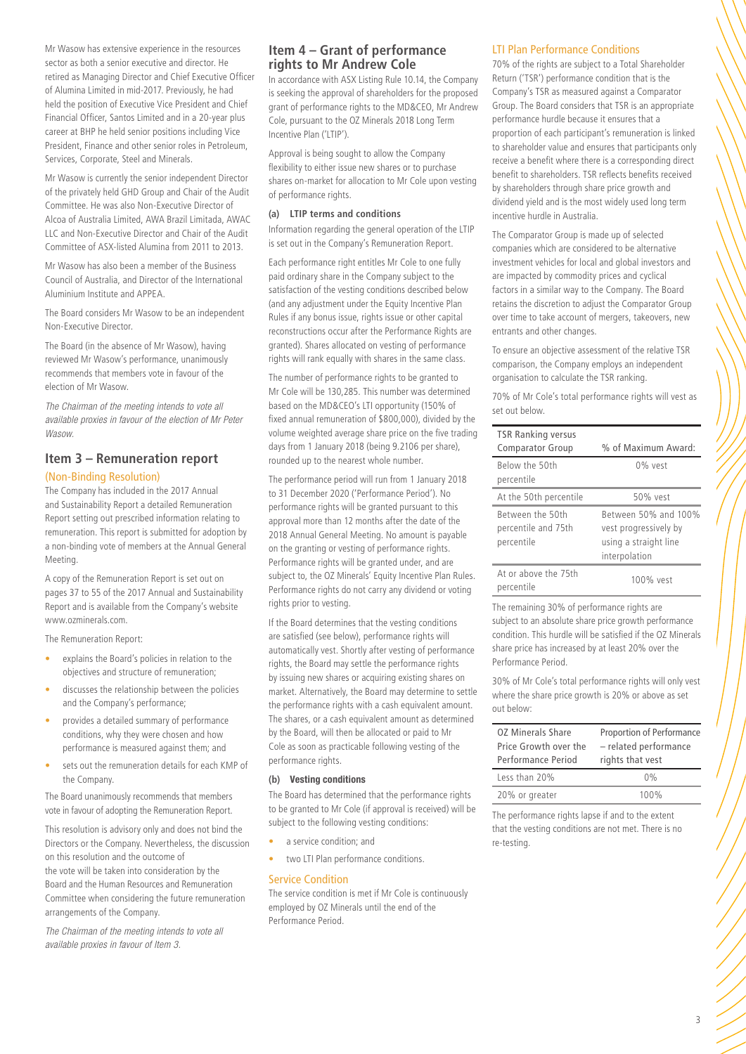Mr Wasow has extensive experience in the resources sector as both a senior executive and director. He retired as Managing Director and Chief Executive Officer of Alumina Limited in mid-2017. Previously, he had held the position of Executive Vice President and Chief Financial Officer, Santos Limited and in a 20-year plus career at BHP he held senior positions including Vice President, Finance and other senior roles in Petroleum, Services, Corporate, Steel and Minerals.

Mr Wasow is currently the senior independent Director of the privately held GHD Group and Chair of the Audit Committee. He was also Non-Executive Director of Alcoa of Australia Limited, AWA Brazil Limitada, AWAC LLC and Non-Executive Director and Chair of the Audit Committee of ASX-listed Alumina from 2011 to 2013.

Mr Wasow has also been a member of the Business Council of Australia, and Director of the International Aluminium Institute and APPEA.

The Board considers Mr Wasow to be an independent Non-Executive Director.

The Board (in the absence of Mr Wasow), having reviewed Mr Wasow's performance, unanimously recommends that members vote in favour of the election of Mr Wasow.

*The Chairman of the meeting intends to vote all available proxies in favour of the election of Mr Peter Wasow.*

# **Item 3 – Remuneration report** (Non-Binding Resolution)

The Company has included in the 2017 Annual and Sustainability Report a detailed Remuneration Report setting out prescribed information relating to remuneration. This report is submitted for adoption by a non-binding vote of members at the Annual General Meeting.

A copy of the Remuneration Report is set out on pages 37 to 55 of the 2017 Annual and Sustainability Report and is available from the Company's website www.ozminerals.com.

The Remuneration Report:

- explains the Board's policies in relation to the objectives and structure of remuneration;
- discusses the relationship between the policies and the Company's performance;
- provides a detailed summary of performance conditions, why they were chosen and how performance is measured against them; and
- sets out the remuneration details for each KMP of the Company.

The Board unanimously recommends that members vote in favour of adopting the Remuneration Report.

This resolution is advisory only and does not bind the Directors or the Company. Nevertheless, the discussion on this resolution and the outcome of the vote will be taken into consideration by the Board and the Human Resources and Remuneration Committee when considering the future remuneration arrangements of the Company.

*The Chairman of the meeting intends to vote all available proxies in favour of Item 3.* 

# **Item 4 – Grant of performance rights to Mr Andrew Cole**

In accordance with ASX Listing Rule 10.14, the Company is seeking the approval of shareholders for the proposed grant of performance rights to the MD&CEO, Mr Andrew Cole, pursuant to the OZ Minerals 2018 Long Term Incentive Plan ('LTIP').

Approval is being sought to allow the Company flexibility to either issue new shares or to purchase shares on-market for allocation to Mr Cole upon vesting of performance rights.

#### **(a) LTIP terms and conditions**

Information regarding the general operation of the LTIP is set out in the Company's Remuneration Report.

Each performance right entitles Mr Cole to one fully paid ordinary share in the Company subject to the satisfaction of the vesting conditions described below (and any adjustment under the Equity Incentive Plan Rules if any bonus issue, rights issue or other capital reconstructions occur after the Performance Rights are granted). Shares allocated on vesting of performance rights will rank equally with shares in the same class.

The number of performance rights to be granted to Mr Cole will be 130,285. This number was determined based on the MD&CEO's LTI opportunity (150% of fixed annual remuneration of \$800,000), divided by the volume weighted average share price on the five trading days from 1 January 2018 (being 9.2106 per share), rounded up to the nearest whole number.

The performance period will run from 1 January 2018 to 31 December 2020 ('Performance Period'). No performance rights will be granted pursuant to this approval more than 12 months after the date of the 2018 Annual General Meeting. No amount is payable on the granting or vesting of performance rights. Performance rights will be granted under, and are subject to, the OZ Minerals' Equity Incentive Plan Rules. Performance rights do not carry any dividend or voting rights prior to vesting.

If the Board determines that the vesting conditions are satisfied (see below), performance rights will automatically vest. Shortly after vesting of performance rights, the Board may settle the performance rights by issuing new shares or acquiring existing shares on market. Alternatively, the Board may determine to settle the performance rights with a cash equivalent amount. The shares, or a cash equivalent amount as determined by the Board, will then be allocated or paid to Mr Cole as soon as practicable following vesting of the performance rights.

#### **(b)** Vesting conditions

The Board has determined that the performance rights to be granted to Mr Cole (if approval is received) will be subject to the following vesting conditions:

- a service condition; and
- two LTI Plan performance conditions.

#### Service Condition

The service condition is met if Mr Cole is continuously employed by OZ Minerals until the end of the Performance Period.

#### LTI Plan Performance Conditions

70% of the rights are subject to a Total Shareholder Return ('TSR') performance condition that is the Company's TSR as measured against a Comparator Group. The Board considers that TSR is an appropriate performance hurdle because it ensures that a proportion of each participant's remuneration is linked to shareholder value and ensures that participants only receive a benefit where there is a corresponding direct benefit to shareholders. TSR reflects benefits received by shareholders through share price growth and dividend yield and is the most widely used long term incentive hurdle in Australia.

The Comparator Group is made up of selected companies which are considered to be alternative investment vehicles for local and global investors and are impacted by commodity prices and cyclical factors in a similar way to the Company. The Board retains the discretion to adjust the Comparator Group over time to take account of mergers, takeovers, new entrants and other changes.

To ensure an objective assessment of the relative TSR comparison, the Company employs an independent organisation to calculate the TSR ranking.

70% of Mr Cole's total performance rights will vest as set out below.

| <b>TSR Ranking versus</b>                             |                                                                                         |
|-------------------------------------------------------|-----------------------------------------------------------------------------------------|
| <b>Comparator Group</b>                               | % of Maximum Award:                                                                     |
| Below the 50th<br>percentile                          | $0\%$ vest                                                                              |
| At the 50th percentile                                | 50% vest                                                                                |
| Between the 50th<br>percentile and 75th<br>percentile | Between 50% and 100%<br>vest progressively by<br>using a straight line<br>interpolation |
| At or above the 75th<br>percentile                    | $100\%$ vest                                                                            |

The remaining 30% of performance rights are subject to an absolute share price growth performance condition. This hurdle will be satisfied if the OZ Minerals share price has increased by at least 20% over the Performance Period.

30% of Mr Cole's total performance rights will only vest where the share price growth is 20% or above as set out below:

| <b>OZ Minerals Share</b><br>Price Growth over the<br>Performance Period | Proportion of Performance<br>- related performance<br>rights that vest |
|-------------------------------------------------------------------------|------------------------------------------------------------------------|
| Less than 20%                                                           | 0%                                                                     |
| 20% or greater                                                          | 100%                                                                   |

The performance rights lapse if and to the extent that the vesting conditions are not met. There is no re-testing.